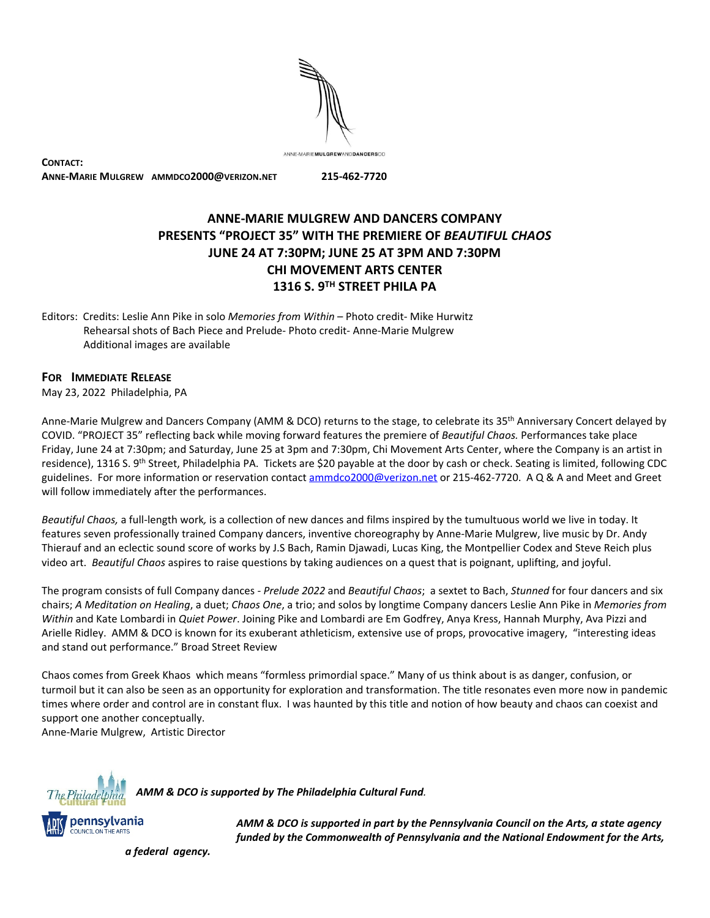ANNE-MARIEMULGREWANDDANCERSCO

**CONTACT: ANNE-MARIE MULGREW AMMDCO2000@VERIZON.NET 215-462-7720**

## **ANNE-MARIE MULGREW AND DANCERS COMPANY PRESENTS "PROJECT 35" WITH THE PREMIERE OF** *BEAUTIFUL CHAOS* **JUNE 24 AT 7:30PM; JUNE 25 AT 3PM AND 7:30PM CHI MOVEMENT ARTS CENTER 1316 S. 9 TH STREET PHILA PA**

Editors: Credits: Leslie Ann Pike in solo *Memories from Within* – Photo credit- Mike Hurwitz Rehearsal shots of Bach Piece and Prelude- Photo credit- Anne-Marie Mulgrew Additional images are available

## **FOR IMMEDIATE RELEASE**

May 23, 2022 Philadelphia, PA

Anne-Marie Mulgrew and Dancers Company (AMM & DCO) returns to the stage, to celebrate its 35<sup>th</sup> Anniversary Concert delayed by COVID. "PROJECT 35" reflecting back while moving forward features the premiere of *Beautiful Chaos.* Performances take place Friday, June 24 at 7:30pm; and Saturday, June 25 at 3pm and 7:30pm, Chi Movement Arts Center, where the Company is an artist in residence), 1316 S. 9<sup>th</sup> Street, Philadelphia PA. Tickets are \$20 payable at the door by cash or check. Seating is limited, following CDC guidelines. For more information or reservation contact [ammdco2000@verizon.net](mailto:ammdco2000@verizon.net) or 215-462-7720. A Q & A and Meet and Greet will follow immediately after the performances.

*Beautiful Chaos,* a full-length work*,* is a collection of new dances and films inspired by the tumultuous world we live in today. It features seven professionally trained Company dancers, inventive choreography by Anne-Marie Mulgrew, live music by Dr. Andy Thierauf and an eclectic sound score of works by J.S Bach, Ramin Djawadi, Lucas King, the Montpellier Codex and Steve Reich plus video art. *Beautiful Chaos* aspires to raise questions by taking audiences on a quest that is poignant, uplifting, and joyful.

The program consists of full Company dances - *Prelude 2022* and *Beautiful Chaos*; a sextet to Bach, *Stunned* for four dancers and six chairs; *A Meditation on Healing*, a duet; *Chaos One*, a trio; and solos by longtime Company dancers Leslie Ann Pike in *Memories from Within* and Kate Lombardi in *Quiet Power*. Joining Pike and Lombardi are Em Godfrey, Anya Kress, Hannah Murphy, Ava Pizzi and Arielle Ridley. AMM & DCO is known for its exuberant athleticism, extensive use of props, provocative imagery, "interesting ideas and stand out performance." Broad Street Review

Chaos comes from Greek Khaos which means "formless primordial space." Many of us think about is as danger, confusion, or turmoil but it can also be seen as an opportunity for exploration and transformation. The title resonates even more now in pandemic times where order and control are in constant flux. I was haunted by this title and notion of how beauty and chaos can coexist and support one another conceptually.

Anne-Marie Mulgrew, Artistic Director



*AMM & DCO is supportedby The PhiladelphiaCulturalFund.*



*AMM & DCO is supportedinpartby the PennsylvaniaCouncilonthe Arts, a state agency funded by the Commonwealth of Pennsylvania and the National Endowment for the Arts,* 

*a federal agency.*